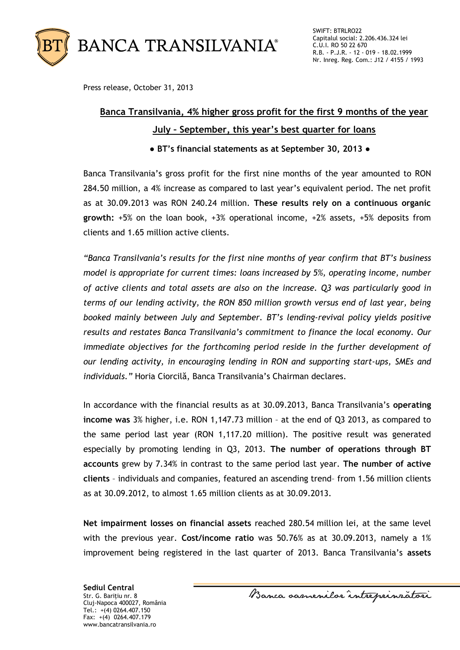

Press release, October 31, 2013

## **Banca Transilvania, 4% higher gross profit for the first 9 months of the year July – September, this year's best quarter for loans**

**● BT's financial statements as at September 30, 2013 ●**

Banca Transilvania's gross profit for the first nine months of the year amounted to RON 284.50 million, a 4% increase as compared to last year's equivalent period. The net profit as at 30.09.2013 was RON 240.24 million. **These results rely on a continuous organic growth:** +5% on the loan book, +3% operational income, +2% assets, +5% deposits from clients and 1.65 million active clients.

*"Banca Transilvania's results for the first nine months of year confirm that BT's business model is appropriate for current times: loans increased by 5%, operating income, number of active clients and total assets are also on the increase. Q3 was particularly good in terms of our lending activity, the RON 850 million growth versus end of last year, being booked mainly between July and September. BT's lending-revival policy yields positive results and restates Banca Transilvania's commitment to finance the local economy. Our immediate objectives for the forthcoming period reside in the further development of our lending activity, in encouraging lending in RON and supporting start-ups, SMEs and individuals."* Horia Ciorcilă, Banca Transilvania's Chairman declares.

In accordance with the financial results as at 30.09.2013, Banca Transilvania's **operating income was** 3% higher, i.e. RON 1,147.73 million – at the end of Q3 2013, as compared to the same period last year (RON 1,117.20 million). The positive result was generated especially by promoting lending in Q3, 2013. **The number of operations through BT accounts** grew by 7.34% in contrast to the same period last year. **The number of active clients** – individuals and companies, featured an ascending trend– from 1.56 million clients as at 30.09.2012, to almost 1.65 million clients as at 30.09.2013.

**Net impairment losses on financial assets** reached 280.54 million lei, at the same level with the previous year. **Cost/income ratio** was 50.76% as at 30.09.2013, namely a 1% improvement being registered in the last quarter of 2013. Banca Transilvania's **assets**

**Sediul Central** Str. G. Bariţiu nr. 8 Cluj-Napoca 400027, România Tel.: +(4) 0264.407.150 Fax: +(4) 0264.407.179 www.bancatransilvania.ro

Banca samenilor intreprinzatori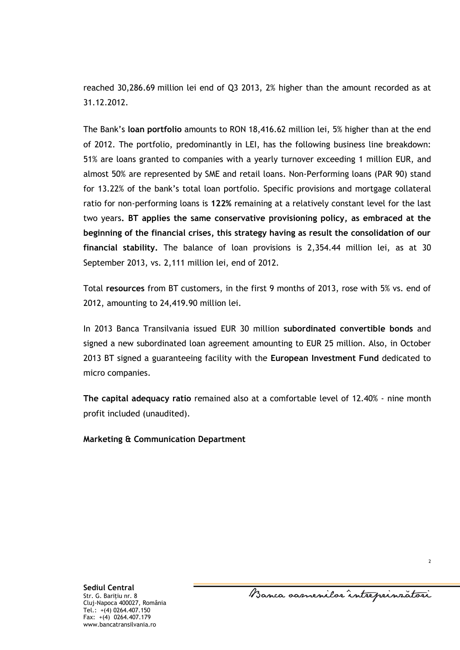reached 30,286.69 million lei end of Q3 2013, 2% higher than the amount recorded as at 31.12.2012.

The Bank's **loan portfolio** amounts to RON 18,416.62 million lei, 5% higher than at the end of 2012. The portfolio, predominantly in LEI, has the following business line breakdown: 51% are loans granted to companies with a yearly turnover exceeding 1 million EUR, and almost 50% are represented by SME and retail loans. Non-Performing loans (PAR 90) stand for 13.22% of the bank's total loan portfolio. Specific provisions and mortgage collateral ratio for non-performing loans is **122%** remaining at a relatively constant level for the last two years**. BT applies the same conservative provisioning policy, as embraced at the beginning of the financial crises, this strategy having as result the consolidation of our financial stability.** The balance of loan provisions is 2,354.44 million lei, as at 30 September 2013, vs. 2,111 million lei, end of 2012.

Total **resources** from BT customers, in the first 9 months of 2013, rose with 5% vs. end of 2012, amounting to 24,419.90 million lei.

In 2013 Banca Transilvania issued EUR 30 million **subordinated convertible bonds** and signed a new subordinated loan agreement amounting to EUR 25 million. Also, in October 2013 BT signed a guaranteeing facility with the **European Investment Fund** dedicated to micro companies.

**The capital adequacy ratio** remained also at a comfortable level of 12.40% - nine month profit included (unaudited).

**Marketing & Communication Department**

Banca samenilor intreprinzatori

2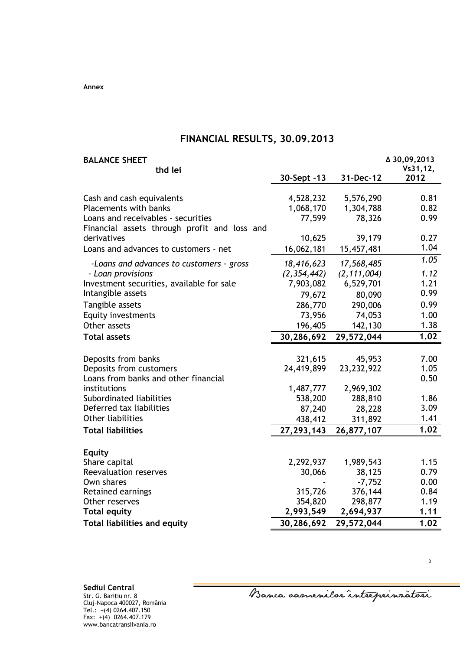**Annex**

## **FINANCIAL RESULTS, 30.09.2013**

|               | <b>BALANCE SHEET</b>                         |              |               | ∆ 30,09,2013     |
|---------------|----------------------------------------------|--------------|---------------|------------------|
|               | thd lei                                      | 30-Sept -13  | 31-Dec-12     | Vs31,12,<br>2012 |
|               |                                              |              |               |                  |
|               | Cash and cash equivalents                    | 4,528,232    | 5,576,290     | 0.81             |
|               | <b>Placements with banks</b>                 | 1,068,170    | 1,304,788     | 0.82             |
|               | Loans and receivables - securities           | 77,599       | 78,326        | 0.99             |
|               | Financial assets through profit and loss and |              |               |                  |
| derivatives   |                                              | 10,625       | 39,179        | 0.27             |
|               | Loans and advances to customers - net        | 16,062,181   | 15,457,481    | 1.04             |
|               | -Loans and advances to customers - gross     | 18,416,623   | 17,568,485    | 1.05             |
|               | - Loan provisions                            | (2,354,442)  | (2, 111, 004) | 1.12             |
|               | Investment securities, available for sale    | 7,903,082    | 6,529,701     | 1.21             |
|               | Intangible assets                            | 79,672       | 80,090        | 0.99             |
|               | Tangible assets                              | 286,770      | 290,006       | 0.99             |
|               | <b>Equity investments</b>                    | 73,956       | 74,053        | 1.00             |
|               | Other assets                                 | 196,405      | 142,130       | 1.38             |
|               | <b>Total assets</b>                          | 30,286,692   | 29,572,044    | 1.02             |
|               |                                              |              |               |                  |
|               | Deposits from banks                          | 321,615      | 45,953        | 7.00             |
|               | Deposits from customers                      | 24,419,899   | 23, 232, 922  | 1.05             |
|               | Loans from banks and other financial         |              |               | 0.50             |
| institutions  |                                              | 1,487,777    | 2,969,302     |                  |
|               | Subordinated liabilities                     | 538,200      | 288,810       | 1.86             |
|               | Deferred tax liabilities                     | 87,240       | 28,228        | 3.09             |
|               | <b>Other liabilities</b>                     | 438,412      | 311,892       | 1.41             |
|               | <b>Total liabilities</b>                     | 27, 293, 143 | 26,877,107    | 1.02             |
|               |                                              |              |               |                  |
| <b>Equity</b> | Share capital                                | 2,292,937    | 1,989,543     | 1.15             |
|               | <b>Reevaluation reserves</b>                 | 30,066       | 38,125        | 0.79             |
| Own shares    |                                              |              | $-7,752$      | 0.00             |
|               | Retained earnings                            | 315,726      | 376,144       | 0.84             |
|               | Other reserves                               | 354,820      | 298,877       | 1.19             |
|               | <b>Total equity</b>                          | 2,993,549    | 2,694,937     | 1.11             |
|               | <b>Total liabilities and equity</b>          | 30,286,692   | 29,572,044    | 1.02             |
|               |                                              |              |               |                  |

**Sediul Central**

Str. G. Bariţiu nr. 8 Cluj-Napoca 400027, România Tel.: +(4) 0264.407.150 Fax: +(4) 0264.407.179 www.bancatransilvania.ro

Banca samenilar intreprinratori